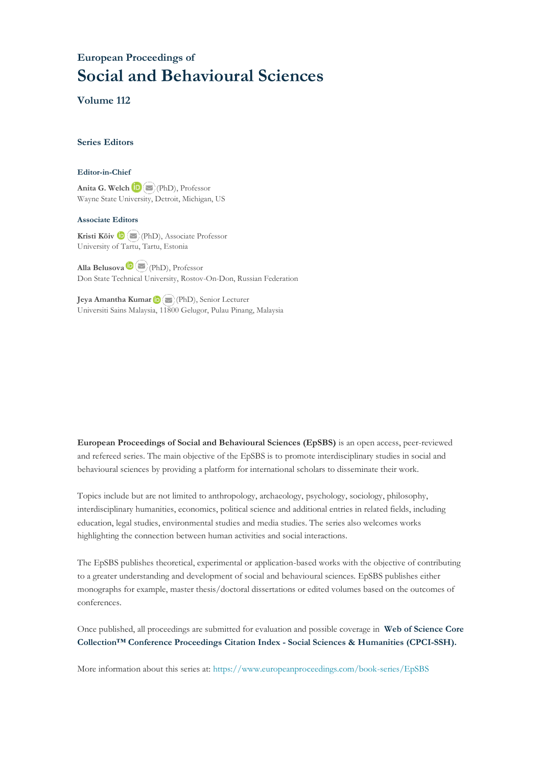## **European Proceedings of Social and Behavioural Sciences**

**Volume 112**

#### **Series Editors**

#### **Editor-in-Chief**

**Anita G. Welch** (PhD), Professor Wayne State University, Detroit, Michigan, US

#### **Associate Editors**

**Kristi Köiv** (PhD), Associate Professor University of Tartu, Tartu, Estonia

**Alla Belusova**(PhD), Professor Don State Technical University, Rostov-On-Don, Russian Federation

**Jeya Amantha Kumar**(PhD), Senior Lecturer Universiti Sains Malaysia, [1180](mailto:amantha@usm.my)0 Gelugor, Pulau Pinang, Malaysia

**European Proceedings of Social and Behavioural Sciences (EpSBS)** is an open access, peer-reviewed and refereed series. The main objective of the EpSBS is to promote interdisciplinary studies in social and behavioural sciences by providing a platform for international scholars to disseminate their work.

Topics include but are not limited to anthropology, archaeology, psychology, sociology, philosophy, interdisciplinary humanities, economics, political science and additional entries in related fields, including education, legal studies, environmental studies and media studies. The series also welcomes works highlighting the connection between human activities and social interactions.

The EpSBS publishes theoretical, experimental or application-based works with the objective of contributing to a greater understanding and development of social and behavioural sciences. EpSBS publishes either monographs for example, master thesis/doctoral dissertations or edited volumes based on the outcomes of conferences.

Once published, all proceedings are submitted for evaluation and possible coverage in **Web of [Science](https://clarivate.com/webofsciencegroup/solutions/webofscience-cpci/) Core Collection™ Conference Proceedings Citation Index - Social Sciences & Humanities [\(CPCI-SSH\).](https://clarivate.com/webofsciencegroup/solutions/webofscience-cpci/)**

More information about this series at[: https://www.europeanproceedings.com/book-series/EpSBS](https://www.europeanproceedings.com/book-series/EpSBS)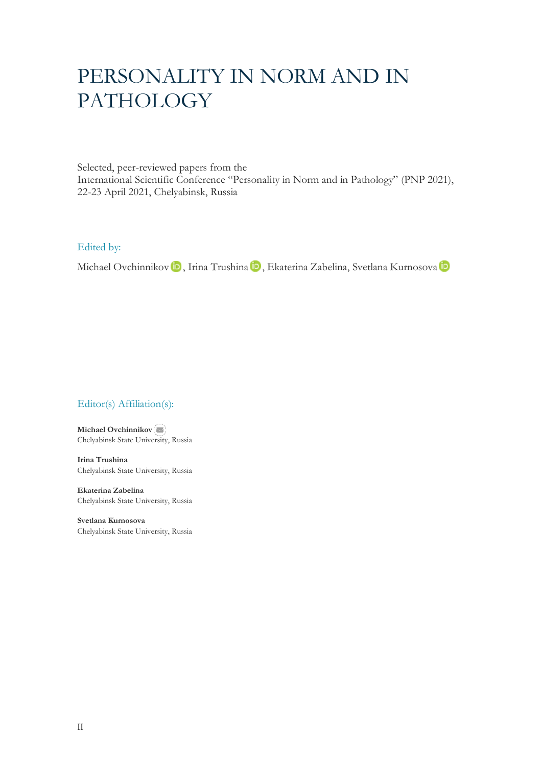# PERSONALITY IN NORM AND IN PATHOLOGY

Selected, peer-reviewed papers from the International Scientific Conference "Personality in Norm and in Pathology" (PNP 2021), 22-23 April 2021, Chelyabinsk, Russia

Edited by:

MichaelOvchinnikov **iD**, Irina Trushina **iD**, Ekaterina Zabelina, Svetlana Kurnosova iD

### Editor(s) Affiliation(s):

**Michael Ovchinnikov** Chelyabinsk State Univ[ersity](mailto:ovmv@mail.ru), Russia

**Irina Trushina** Chelyabinsk State University, Russia

**Ekaterina Zabelina** Chelyabinsk State University, Russia

**Svetlana Kurnosova** Chelyabinsk State University, Russia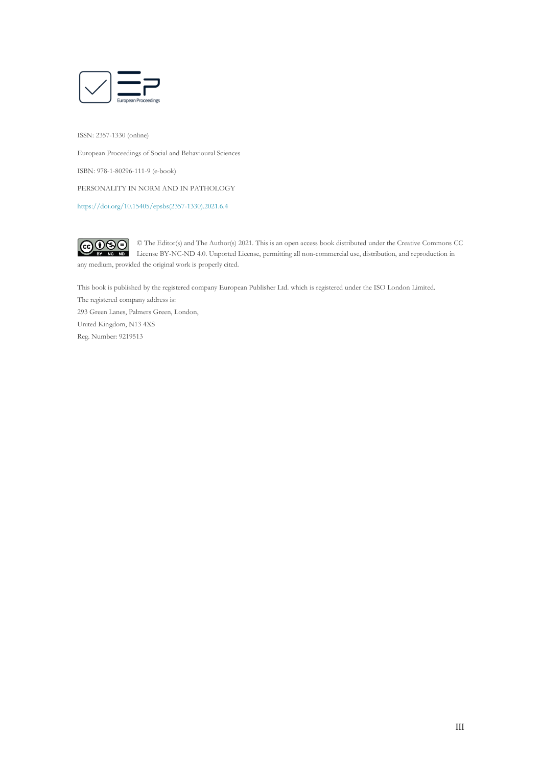

ISSN: 2357-1330 (online)

European Proceedings of Social and Behavioural Sciences ISBN: 978-1-80296-111-9 (e-book)

PERSONALITY IN NORM AND IN PATHOLOGY

[https://doi.org/10.15405/epsbs\(2357-1330\).2021.6.4](https://doi.org/10.15405/epsbs(2357-1330).2021.6.4)

 $CO$  $O$  $O$  $O$ © The Editor(s) and The Author(s) 2021. This is an open access book distributed under the Creative Commons CC License BY-NC-ND 4.0. Unported License, permitting all non-commercial use, distribution, and reproduction in any medium, provided the original work is properly cited.

This book is published by the registered company European Publisher Ltd. which is registered under the ISO London Limited.

The registered company address is: 293 Green Lanes, Palmers Green, London, United Kingdom, N13 4XS Reg. Number: 9219513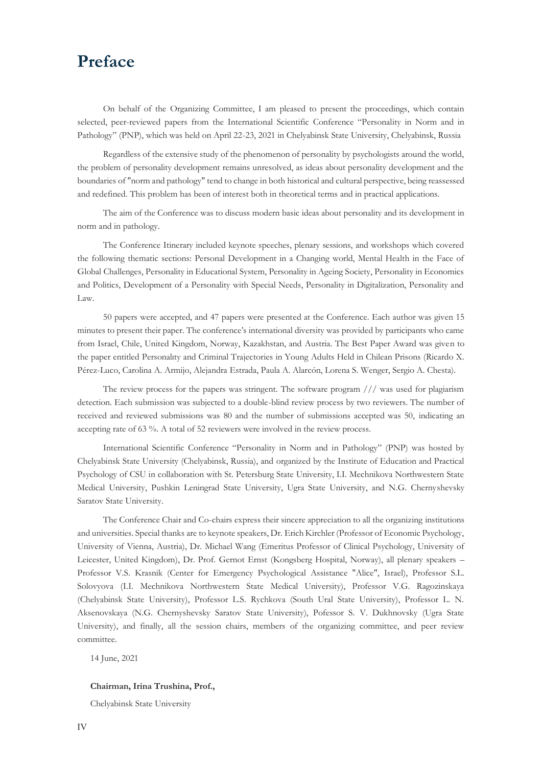## **Preface**

On behalf of the Organizing Committee, I am pleased to present the proceedings, which contain selected, peer-reviewed papers from the International Scientific Conference "Personality in Norm and in Pathology" (PNP), which was held on April 22-23, 2021 in Chelyabinsk State University, Chelyabinsk, Russia

Regardless of the extensive study of the phenomenon of personality by psychologists around the world, the problem of personality development remains unresolved, as ideas about personality development and the boundaries of "norm and pathology" tend to change in both historical and cultural perspective, being reassessed and redefined. This problem has been of interest both in theoretical terms and in practical applications.

The aim of the Conference was to discuss modern basic ideas about personality and its development in norm and in pathology.

The Conference Itinerary included keynote speeches, plenary sessions, and workshops which covered the following thematic sections: Personal Development in a Changing world, Mental Health in the Face of Global Challenges, Personality in Educational System, Personality in Ageing Society, Personality in Economics and Politics, Development of a Personality with Special Needs, Personality in Digitalization, Personality and Law.

50 papers were accepted, and 47 papers were presented at the Conference. Each author was given 15 minutes to present their paper. The conference's international diversity was provided by participants who came from Israel, Chile, United Kingdom, Norway, Kazakhstan, and Austria. The Best Paper Award was given to the paper entitled Personalıty and Criminal Trajectories in Young Adults Held in Chilean Prisons (Ricardo X. Pérez-Luco, Carolina A. Armijo, Alejandra Estrada, Paula A. Alarcón, Lorena S. Wenger, Sergio A. Chesta).

The review process for the papers was stringent. The software program /// was used for plagiarism detection. Each submission was subjected to a double-blind review process by two reviewers. The number of received and reviewed submissions was 80 and the number of submissions accepted was 50, indicating an accepting rate of 63 %. A total of 52 reviewers were involved in the review process.

International Scientific Conference "Personality in Norm and in Pathology" (PNP) was hosted by Chelyabinsk State University (Chelyabinsk, Russia), and organized by the Institute of Education and Practical Psychology of CSU in collaboration with St. Petersburg State University, I.I. Mechnikova Northwestern State Medical University, Pushkin Leningrad State University, Ugra State University, and N.G. Chernyshevsky Saratov State University.

The Conference Chair and Co-chairs express their sincere appreciation to all the organizing institutions and universities. Special thanks are to keynote speakers, Dr. Erich Kirchler (Professor of Economic Psychology, University of Vienna, Austria), Dr. Michael Wang (Emeritus Professor of Clinical Psychology, University of Leicester, United Kingdom), Dr. Prof. Gernot Ernst (Kongsberg Hospital, Norway), all plenary speakers – Professor V.S. Krasnik (Center for Emergency Psychological Assistance "Alice", Israel), Professor S.L. Solovyova (I.I. Mechnikova Northwestern State Medical University), Professor V.G. Ragozinskaya (Chelyabinsk State University), Professor L.S. Rychkova (South Ural State University), Professor L. N. Aksenovskaya (N.G. Chernyshevsky Saratov State University), Pofessor S. V. Dukhnovsky (Ugra State University), and finally, all the session chairs, members of the organizing committee, and peer review committee.

14 June, 2021

#### **Chairman, Irina Trushina, Prof.,**

Chelyabinsk State University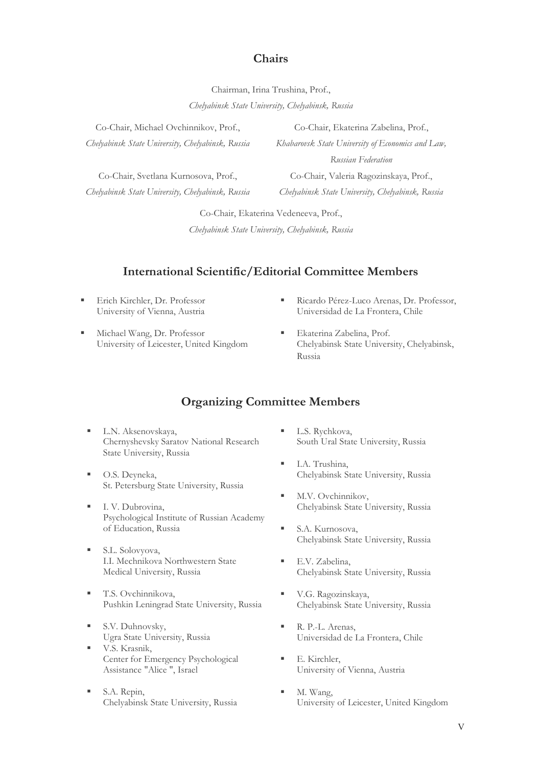## **Chairs**

Chairman, Irina Trushina, Prof.,

*Chelyabinsk State University, Chelyabinsk, Russia*

Co-Chair, Michael Ovchinnikov, Prof., *Chelyabinsk State University, Chelyabinsk, Russia*

Co-Chair, Svetlana Kurnosova, Prof., *Chelyabinsk State University, Chelyabinsk, Russia*

Co-Chair, Ekaterina Zabelina, Prof., *Khabarovsk State University of Economics and Law,* 

*Russian Federation*

Co-Chair, Valeria Ragozinskaya, Prof., *Chelyabinsk State University, Chelyabinsk, Russia*

Co-Chair, Ekaterina Vedeneeva, Prof.,

*Chelyabinsk State University, Chelyabinsk, Russia*

## **International Scientific/Editorial Committee Members**

- **Erich Kirchler, Dr. Professor** University of Vienna, Austria
- Michael Wang, Dr. Professor University of Leicester, United Kingdom
- Ricardo Pérez-Luco Arenas, Dr. Professor, Universidad de La Frontera, Chile
- Ekaterina Zabelina, Prof. Chelyabinsk State University, Chelyabinsk, Russia

## **Organizing Committee Members**

- L.N. Aksenovskaya, Chernyshevsky Saratov National Research State University, Russia
- O.S. Deyneka, St. Petersburg State University, Russia
- **I. V. Dubrovina,** Psychological Institute of Russian Academy of Education, Russia
- S.L. Solovyova, I.I. Mechnikova Northwestern State Medical University, Russia
- **T.S. Ovchinnikova,** Pushkin Leningrad State University, Russia
- S.V. Duhnovsky, Ugra State University, Russia
- V.S. Krasnik, Center for Emergency Psychological Assistance "Alice ", Israel
- S.A. Repin, Chelyabinsk State University, Russia
- L.S. Rychkova, South Ural State University, Russia
- I.A. Trushina, Chelyabinsk State University, Russia
- M.V. Ovchinnikov, Chelyabinsk State University, Russia
- S.A. Kurnosova, Chelyabinsk State University, Russia
- E.V. Zabelina, Chelyabinsk State University, Russia
- V.G. Ragozinskaya, Chelyabinsk State University, Russia
- R. P.-L. Arenas, Universidad de La Frontera, Chile
- E. Kirchler, University of Vienna, Austria
- M. Wang, University of Leicester, United Kingdom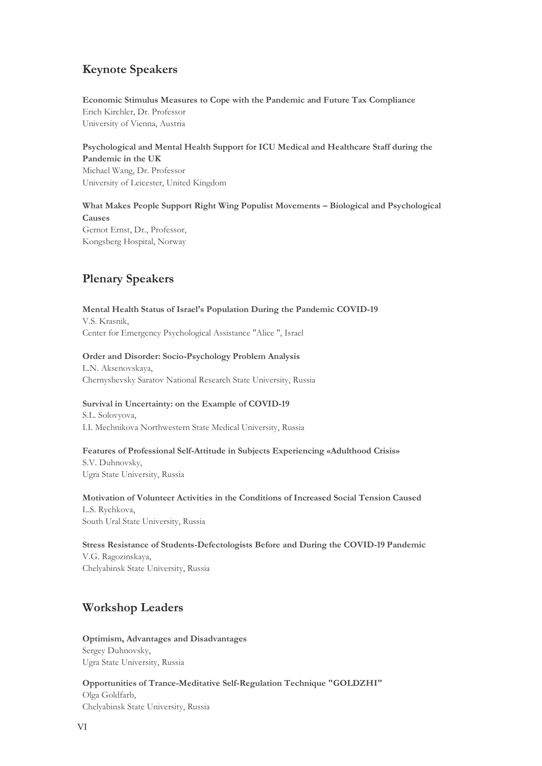## **Keynote Speakers**

**Economic Stimulus Measures to Cope with the Pandemic and Future Tax Compliance** Erich Kirchler, Dr. Professor University of Vienna, Austria

**Psychological and Mental Health Support for ICU Medical and Healthcare Staff during the Pandemic in the UK** Michael Wang, Dr. Professor University of Leicester, United Kingdom

**What Makes People Support Right Wing Populist Movements – Biological and Psychological Causes** Gernot Ernst, Dr., Professor, Kongsberg Hospital, Norway

## **Plenary Speakers**

**Mental Health Status of Israel's Population During the Pandemic COVID-19** V.S. Krasnik, Center for Emergency Psychological Assistance "Alice ", Israel

#### **Order and Disorder: Socio-Psychology Problem Analysis**

L.N. Aksenovskaya, Chernyshevsky Saratov National Research State University, Russia

#### **Survival in Uncertainty: on the Example of COVID-19**

S.L. Solovyova, I.I. Mechnikova Northwestern State Medical University, Russia

#### **Features of Professional Self-Attitude in Subjects Experiencing «Adulthood Crisis»**

S.V. Duhnovsky, Ugra State University, Russia

#### **Motivation of Volunteer Activities in the Conditions of Increased Social Tension Caused**

L.S. Rychkova, South Ural State University, Russia

#### **Stress Resistance of Students-Defectologists Before and During the COVID-19 Pandemic**

V.G. Ragozinskaya, Chelyabinsk State University, Russia

## **Workshop Leaders**

**Optimism, Advantages and Disadvantages** Sergey Duhnovsky, Ugra State University, Russia

**Opportunities of Trance-Meditative Self-Regulation Technique "GOLDZHI"** Olga Goldfarb, Chelyabinsk State University, Russia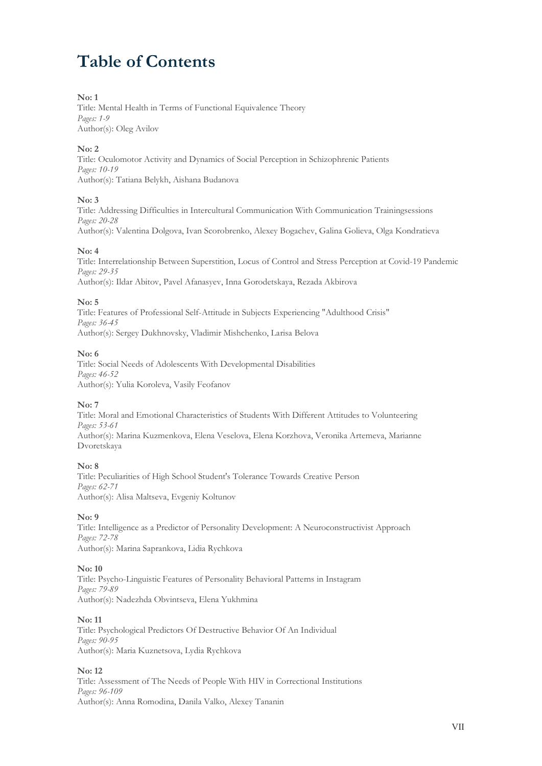# **Table of Contents**

#### **No: 1**

Title: Mental Health in Terms of Functional Equivalence Theory *Pages: 1-9* Author(s): Oleg Avilov

#### **No: 2**

Title: Oculomotor Activity and Dynamics of Social Perception in Schizophrenic Patients *Pages: 10-19* Author(s): Tatiana Belykh, Aishana Budanova

#### **No: 3**

Title: Addressing Difficulties in Intercultural Communication With Communication Trainingsessions *Pages: 20-28* Author(s): Valentina Dolgova, Ivan Scorobrenko, Alexey Bogachev, Galina Golieva, Olga Kondratieva

#### **No: 4**

Title: Interrelationship Between Superstition, Locus of Control and Stress Perception at Covid-19 Pandemic *Pages: 29-35*

Author(s): Ildar Abitov, Pavel Afanasyev, Inna Gorodetskaya, Rezada Akbirova

#### **No: 5**

Title: Features of Professional Self-Attitude in Subjects Experiencing "Adulthood Crisis" *Pages: 36-45* Author(s): Sergey Dukhnovsky, Vladimir Mishchenko, Larisa Belova

#### **No: 6**

Title: Social Needs of Adolescents With Developmental Disabilities *Pages: 46-52* Author(s): Yulia Koroleva, Vasily Feofanov

#### **No: 7**

Title: Moral and Emotional Characteristics of Students With Different Attitudes to Volunteering *Pages: 53-61* Author(s): Marina Kuzmenkova, Elena Veselova, Elena Korzhova, Veronika Artemeva, Marianne Dvoretskaya

#### **No: 8**

Title: Peculiarities of High School Student's Tolerance Towards Creative Person *Pages: 62-71* Author(s): Alisa Maltseva, Evgeniy Koltunov

#### **No: 9**

Title: Intelligence as a Predictor of Personality Development: A Neuroconstructivist Approach *Pages: 72-78* Author(s): Marina Saprankova, Lidia Rychkova

#### **No: 10**

Title: Psycho-Linguistic Features of Personality Behavioral Patterns in Instagram *Pages: 79-89* Author(s): Nadezhda Obvintseva, Elena Yukhmina

#### **No: 11**

Title: Psychological Predictors Of Destructive Behavior Of An Individual *Pages: 90-95* Author(s): Maria Kuznetsova, Lydia Rychkova

#### **No: 12**

Title: Assessment of The Needs of People With HIV in Correctional Institutions *Pages: 96-109* Author(s): Anna Romodina, Danila Valko, Alexey Tananin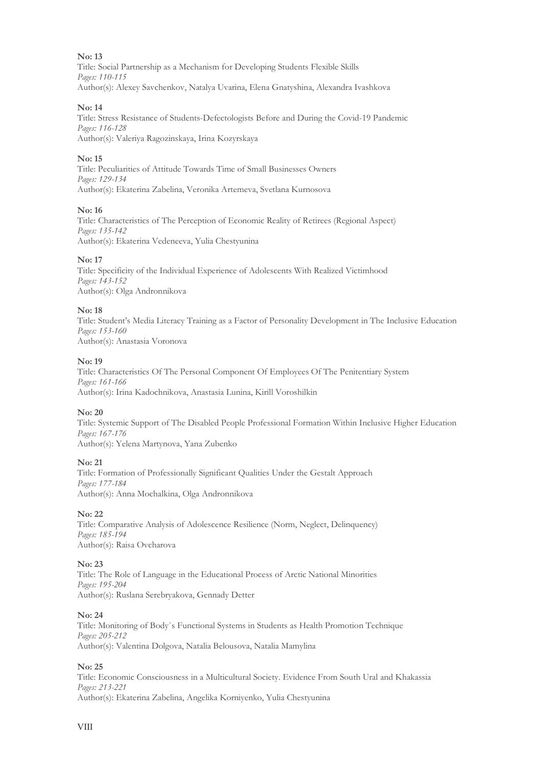#### **No: 13**

Title: Social Partnership as a Mechanism for Developing Students Flexible Skills *Pages: 110-115* Author(s): Alexey Savchenkov, Natalya Uvarina, Elena Gnatyshina, Alexandra Ivashkova

#### **No: 14**

Title: Stress Resistance of Students-Defectologists Before and During the Covid-19 Pandemic *Pages: 116-128* Author(s): Valeriya Ragozinskaya, Irina Kozyrskaya

#### **No: 15**

Title: Peculiarities of Attitude Towards Time of Small Businesses Owners *Pages: 129-134* Author(s): Ekaterina Zabelina, Veronika Artemeva, Svetlana Kurnosova

#### **No: 16**

Title: Characteristics of The Perception of Economic Reality of Retirees (Regional Aspect) *Pages: 135-142* Author(s): Ekaterina Vedeneeva, Yulia Chestyunina

#### **No: 17**

Title: Specificity of the Individual Experience of Adolescents With Realized Victimhood *Pages: 143-152* Author(s): Olga Andronnikova

#### **No: 18**

Title: Student's Media Literacy Training as a Factor of Personality Development in The Inclusive Education *Pages: 153-160* Author(s): Anastasia Voronova

#### **No: 19**

Title: Characteristics Of The Personal Component Of Employees Of The Penitentiary System *Pages: 161-166* Author(s): Irina Kadochnikova, Anastasia Lunina, Kirill Voroshilkin

#### **No: 20**

Title: Systemic Support of The Disabled People Professional Formation Within Inclusive Higher Education *Pages: 167-176* Author(s): Yelena Martynova, Yana Zubenko

#### **No: 21**

Title: Formation of Professionally Significant Qualities Under the Gestalt Approach *Pages: 177-184* Author(s): Anna Mochalkina, Olga Andronnikova

#### **No: 22**

Title: Comparative Аnalysis of Adolescence Resilience (Norm, Neglect, Delinquency) *Pages: 185-194* Author(s): Raisa Ovcharova

#### **No: 23**

Title: The Role of Language in the Educational Process of Arctic National Minorities *Pages: 195-204* Author(s): Ruslana Serebryakova, Gennady Detter

#### **No: 24**

Title: Monitoring of Body`s Functional Systems in Students as Health Promotion Technique *Pages: 205-212* Author(s): Valentina Dolgova, Natalia Belousova, Natalia Mamylina

#### **No: 25**

Title: Economic Consciousness in a Multicultural Society. Evidence From South Ural and Khakassia *Pages: 213-221* Author(s): Ekaterina Zabelina, Angelika Korniyenko, Yulia Chestyunina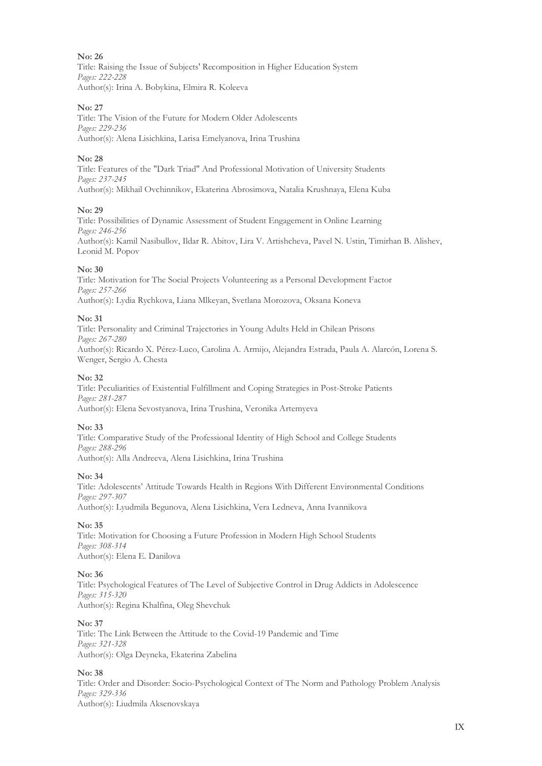#### **No: 26**

Title: Raising the Issue of Subjects' Recomposition in Higher Education System *Pages: 222-228* Author(s): Irina A. Bobykina, Elmira R. Koleeva

#### **No: 27**

Title: The Vision of the Future for Modern Older Adolescents *Pages: 229-236* Author(s): Alena Lisichkina, Larisa Emelyanova, Irina Trushina

#### **No: 28**

Title: Features of the "Dark Triad" And Professional Motivation of University Students *Pages: 237-245* Author(s): Mikhail Ovchinnikov, Ekaterina Abrosimova, Natalia Krushnaya, Elena Kuba

#### **No: 29**

Title: Possibilities of Dynamic Assessment of Student Engagement in Online Learning *Pages: 246-256* Author(s): Kamil Nasibullov, Ildar R. Abitov, Lira V. Artishcheva, Pavel N. Ustin, Timirhan B. Alishev, Leonid M. Popov

#### **No: 30**

Title: Motivation for The Social Projects Volunteering as a Personal Development Factor *Pages: 257-266* Author(s): Lydia Rychkova, Liana Mlkeyan, Svetlana Morozova, Oksana Koneva

#### **No: 31**

Title: Personality and Criminal Trajectories in Young Adults Held in Chilean Prisons *Pages: 267-280* Author(s): Ricardo X. Pérez-Luco, Carolina A. Armijo, Alejandra Estrada, Paula A. Alarcón, Lorena S. Wenger, Sergio A. Chesta

#### **No: 32**

Title: Peculiarities of Existential Fulfillment and Coping Strategies in Post-Stroke Patients *Pages: 281-287* Author(s): Elena Sevostyanova, Irina Trushina, Veronika Artemyeva

#### **No: 33**

Title: Comparative Study of the Professional Identity of High School and College Students *Pages: 288-296* Author(s): Alla Andreeva, Alena Lisichkina, Irina Trushina

#### **No: 34**

Title: Adolescents' Attitude Towards Health in Regions With Different Environmental Conditions *Pages: 297-307*

Author(s): Lyudmila Begunova, Alena Lisichkina, Vera Ledneva, Anna Ivannikova

#### **No: 35**

Title: Motivation for Choosing a Future Profession in Modern High School Students *Pages: 308-314* Author(s): Elena E. Danilova

#### **No: 36**

Title: Psychological Features of The Level of Subjective Control in Drug Addicts in Adolescence *Pages: 315-320* Author(s): Regina Khalfina, Oleg Shevchuk

#### **No: 37**

Title: The Link Between the Attitude to the Covid-19 Pandemic and Time *Pages: 321-328* Author(s): Оlga Deyneka, Ekaterina Zabelina

#### **No: 38**

Title: Order and Disorder: Socio-Psychological Context of The Norm and Pathology Problem Analysis *Pages: 329-336* Author(s): Liudmila Aksenovskaya